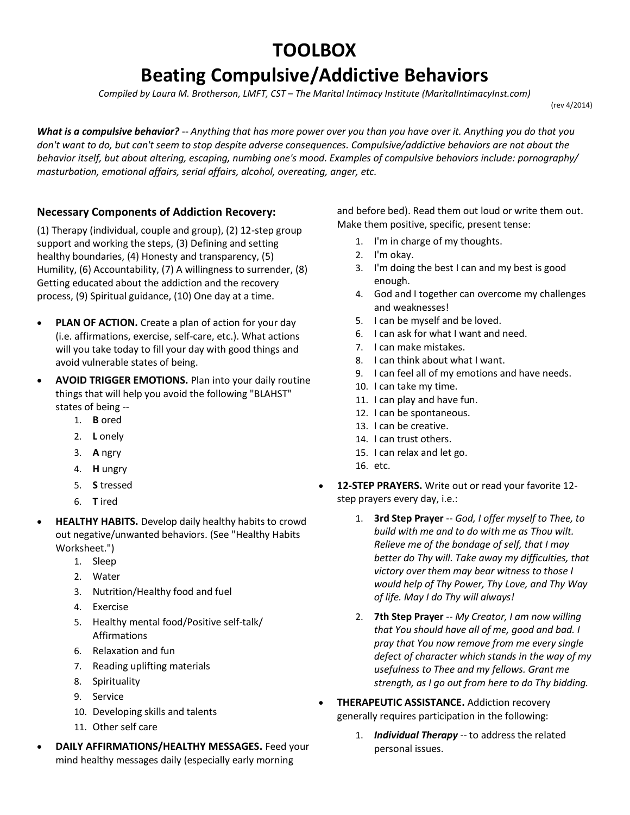## **TOOLBOX**

## **Beating Compulsive/Addictive Behaviors**

*Compiled by Laura M. Brotherson, LMFT, CST – The Marital Intimacy Institute (MaritalIntimacyInst.com)* 

(rev 4/2014)

*What is a compulsive behavior?* -- *Anything that has more power over you than you have over it. Anything you do that you don't want to do, but can't seem to stop despite adverse consequences. Compulsive/addictive behaviors are not about the behavior itself, but about altering, escaping, numbing one's mood. Examples of compulsive behaviors include: pornography/ masturbation, emotional affairs, serial affairs, alcohol, overeating, anger, etc.*

## **Necessary Components of Addiction Recovery:**

(1) Therapy (individual, couple and group), (2) 12-step group support and working the steps, (3) Defining and setting healthy boundaries, (4) Honesty and transparency, (5) Humility, (6) Accountability, (7) A willingness to surrender, (8) Getting educated about the addiction and the recovery process, (9) Spiritual guidance, (10) One day at a time.

- **PLAN OF ACTION.** Create a plan of action for your day (i.e. affirmations, exercise, self-care, etc.). What actions will you take today to fill your day with good things and avoid vulnerable states of being.
- **AVOID TRIGGER EMOTIONS.** Plan into your daily routine things that will help you avoid the following "BLAHST" states of being --
	- 1. **B** ored
	- 2. **L** onely
	- 3. **A** ngry
	- 4. **H** ungry
	- 5. **S** tressed
	- 6. **T** ired
- **HEALTHY HABITS.** Develop daily healthy habits to crowd out negative/unwanted behaviors. (See "Healthy Habits Worksheet.")
	- 1. Sleep
	- 2. Water
	- 3. Nutrition/Healthy food and fuel
	- 4. Exercise
	- 5. Healthy mental food/Positive self-talk/ Affirmations
	- 6. Relaxation and fun
	- 7. Reading uplifting materials
	- 8. Spirituality
	- 9. Service
	- 10. Developing skills and talents
	- 11. Other self care
- **DAILY AFFIRMATIONS/HEALTHY MESSAGES.** Feed your mind healthy messages daily (especially early morning

and before bed). Read them out loud or write them out. Make them positive, specific, present tense:

- 1. I'm in charge of my thoughts.
- 2. I'm okay.
- 3. I'm doing the best I can and my best is good enough.
- 4. God and I together can overcome my challenges and weaknesses!
- 5. I can be myself and be loved.
- 6. I can ask for what I want and need.
- 7. I can make mistakes.
- 8. I can think about what I want.
- 9. I can feel all of my emotions and have needs.
- 10. I can take my time.
- 11. I can play and have fun.
- 12. I can be spontaneous.
- 13. I can be creative.
- 14. I can trust others.
- 15. I can relax and let go.
- 16. etc.
- **12-STEP PRAYERS.** Write out or read your favorite 12 step prayers every day, i.e.:
	- 1. **3rd Step Prayer** -- *God, I offer myself to Thee, to build with me and to do with me as Thou wilt. Relieve me of the bondage of self, that I may better do Thy will. Take away my difficulties, that victory over them may bear witness to those I would help of Thy Power, Thy Love, and Thy Way of life. May I do Thy will always!*
	- 2. **7th Step Prayer** -- *My Creator, I am now willing that You should have all of me, good and bad. I pray that You now remove from me every single defect of character which stands in the way of my usefulness to Thee and my fellows. Grant me strength, as I go out from here to do Thy bidding.*
- **THERAPEUTIC ASSISTANCE.** Addiction recovery generally requires participation in the following:
	- 1. *Individual Therapy* -- to address the related personal issues.